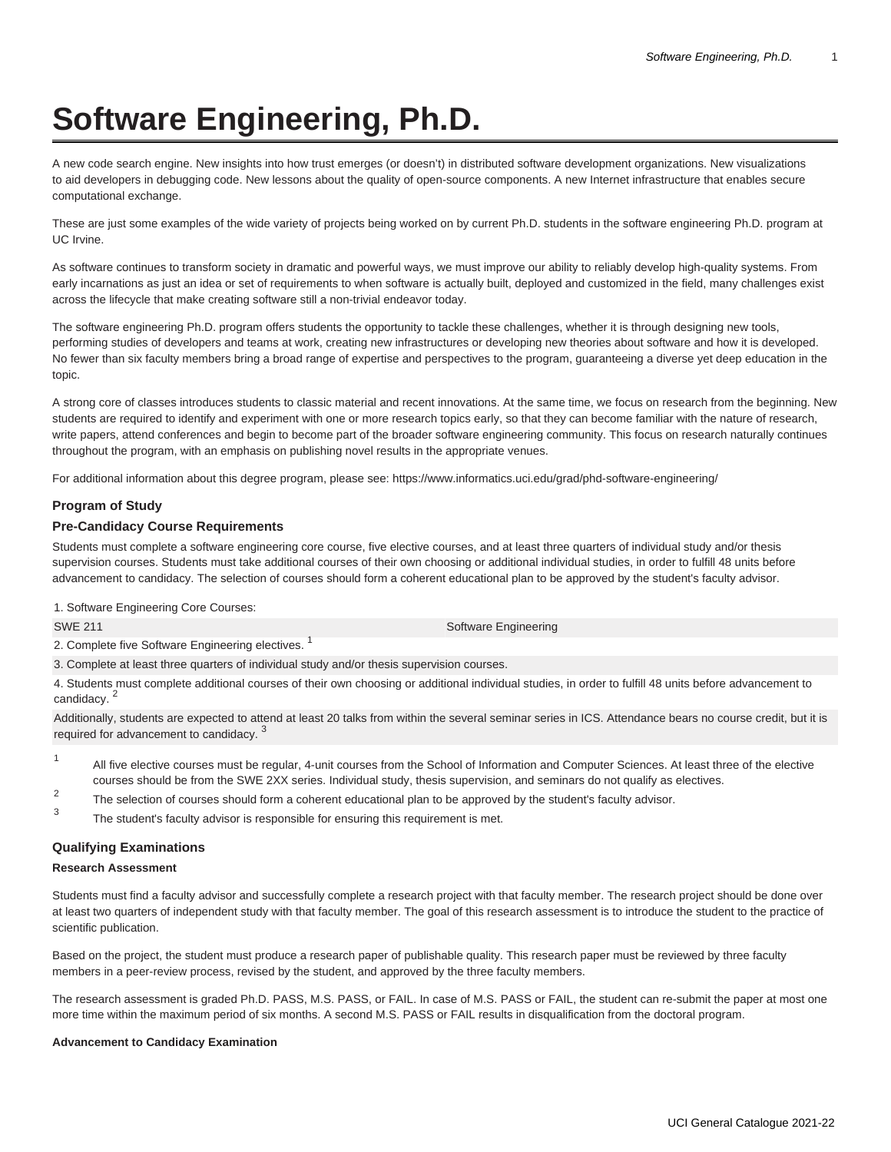# **Software Engineering, Ph.D.**

A new code search engine. New insights into how trust emerges (or doesn't) in distributed software development organizations. New visualizations to aid developers in debugging code. New lessons about the quality of open-source components. A new Internet infrastructure that enables secure computational exchange.

These are just some examples of the wide variety of projects being worked on by current Ph.D. students in the software engineering Ph.D. program at UC Irvine.

As software continues to transform society in dramatic and powerful ways, we must improve our ability to reliably develop high-quality systems. From early incarnations as just an idea or set of requirements to when software is actually built, deployed and customized in the field, many challenges exist across the lifecycle that make creating software still a non-trivial endeavor today.

The software engineering Ph.D. program offers students the opportunity to tackle these challenges, whether it is through designing new tools, performing studies of developers and teams at work, creating new infrastructures or developing new theories about software and how it is developed. No fewer than six faculty members bring a broad range of expertise and perspectives to the program, guaranteeing a diverse yet deep education in the topic.

A strong core of classes introduces students to classic material and recent innovations. At the same time, we focus on research from the beginning. New students are required to identify and experiment with one or more research topics early, so that they can become familiar with the nature of research, write papers, attend conferences and begin to become part of the broader software engineering community. This focus on research naturally continues throughout the program, with an emphasis on publishing novel results in the appropriate venues.

For additional information about this degree program, please see: <https://www.informatics.uci.edu/grad/phd-software-engineering/>

# **Program of Study**

## **Pre-Candidacy Course Requirements**

Students must complete a software engineering core course, five elective courses, and at least three quarters of individual study and/or thesis supervision courses. Students must take additional courses of their own choosing or additional individual studies, in order to fulfill 48 units before advancement to candidacy. The selection of courses should form a coherent educational plan to be approved by the student's faculty advisor.

1. Software Engineering Core Courses:

[SWE 211](/search/?P=SWE%20211) Software Engineering

2. Complete five Software Engineering electives.<sup>1</sup>

3. Complete at least three quarters of individual study and/or thesis supervision courses.

4. Students must complete additional courses of their own choosing or additional individual studies, in order to fulfill 48 units before advancement to candidacy.<sup>2</sup>

Additionally, students are expected to attend at least 20 talks from within the several seminar series in ICS. Attendance bears no course credit, but it is required for advancement to candidacy.<sup>3</sup>

- 1 All five elective courses must be regular, 4-unit courses from the School of Information and Computer Sciences. At least three of the elective courses should be from the SWE 2XX series. Individual study, thesis supervision, and seminars do not qualify as electives.
- $\mathfrak{p}$ The selection of courses should form a coherent educational plan to be approved by the student's faculty advisor.

3 The student's faculty advisor is responsible for ensuring this requirement is met.

# **Qualifying Examinations**

#### **Research Assessment**

Students must find a faculty advisor and successfully complete a research project with that faculty member. The research project should be done over at least two quarters of independent study with that faculty member. The goal of this research assessment is to introduce the student to the practice of scientific publication.

Based on the project, the student must produce a research paper of publishable quality. This research paper must be reviewed by three faculty members in a peer-review process, revised by the student, and approved by the three faculty members.

The research assessment is graded Ph.D. PASS, M.S. PASS, or FAIL. In case of M.S. PASS or FAIL, the student can re-submit the paper at most one more time within the maximum period of six months. A second M.S. PASS or FAIL results in disqualification from the doctoral program.

#### **Advancement to Candidacy Examination**